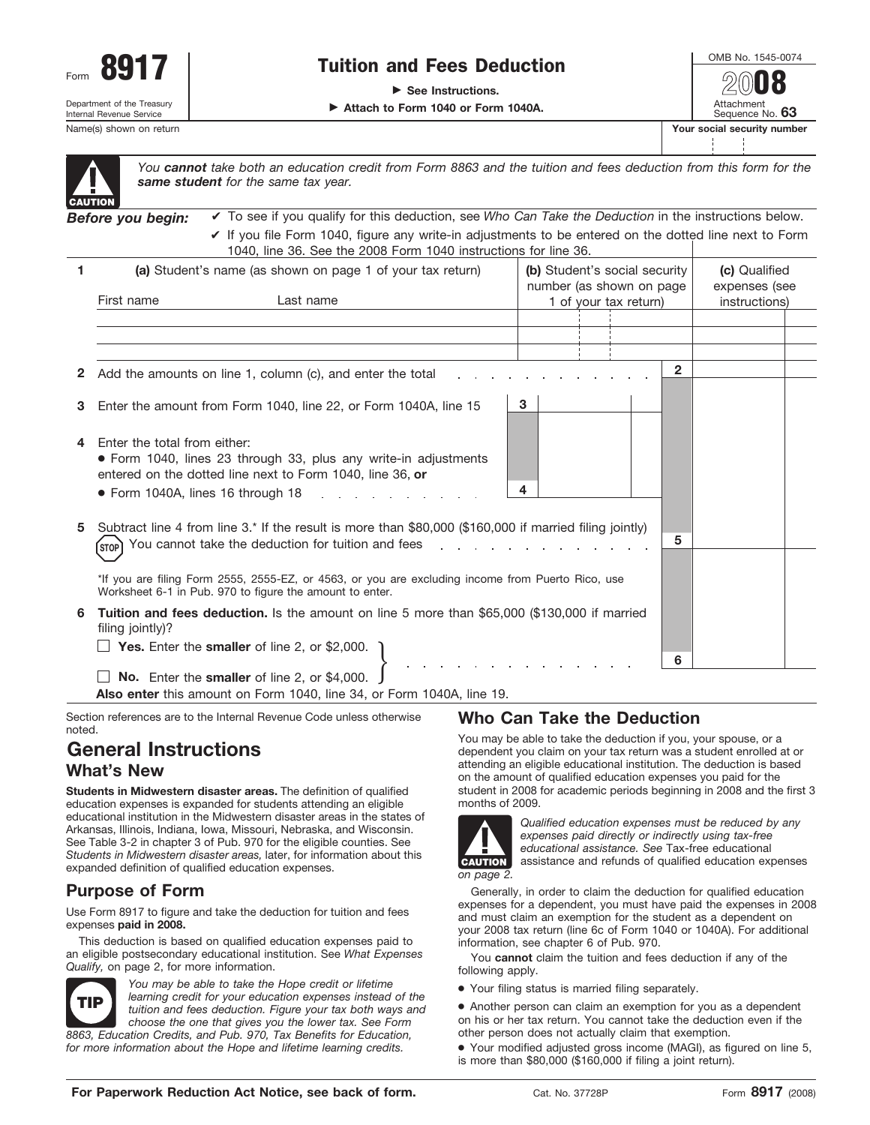

Internal Revenue Service

## **Tuition and Fees Deduction**

▶ See Instructions.

© **Attach to Form 1040 or Form 1040A.**

Name(s) shown on return **Your social security numbers**  $\mathbf{Y}$ 

|                            | OMB No. 1545-0074             |  |  |  |  |  |
|----------------------------|-------------------------------|--|--|--|--|--|
|                            | 2018                          |  |  |  |  |  |
|                            | Attachment<br>Sequence No. 63 |  |  |  |  |  |
| our social security number |                               |  |  |  |  |  |
|                            |                               |  |  |  |  |  |



*You cannot take both an education credit from Form 8863 and the tuition and fees deduction from this form for the same student for the same tax year.*

*Before you begin:* ✔ If you file Form 1040, figure any write-in adjustments to be entered on the dotted line next to Form 1040, line 36. See the 2008 Form 1040 instructions for line 36. ✔ To see if you qualify for this deduction, see *Who Can Take the Deduction* in the instructions below.

| 1 | (a) Student's name (as shown on page 1 of your tax return)                                                                                                                                                          |  | (b) Student's social security<br>number (as shown on page |                       | (c) Qualified<br>expenses (see |  |
|---|---------------------------------------------------------------------------------------------------------------------------------------------------------------------------------------------------------------------|--|-----------------------------------------------------------|-----------------------|--------------------------------|--|
|   | First name<br>Last name                                                                                                                                                                                             |  |                                                           | 1 of your tax return) | instructions)                  |  |
|   |                                                                                                                                                                                                                     |  |                                                           |                       |                                |  |
|   |                                                                                                                                                                                                                     |  |                                                           |                       |                                |  |
|   |                                                                                                                                                                                                                     |  |                                                           |                       |                                |  |
|   |                                                                                                                                                                                                                     |  |                                                           |                       |                                |  |
|   | 2 Add the amounts on line 1, column (c), and enter the total                                                                                                                                                        |  |                                                           | $\overline{2}$        |                                |  |
| 3 | Enter the amount from Form 1040, line 22, or Form 1040A, line 15                                                                                                                                                    |  | 3                                                         |                       |                                |  |
| 4 | Foter the total from either:<br>• Form 1040, lines 23 through 33, plus any write-in adjustments<br>entered on the dotted line next to Form 1040, line 36, or<br>$\bullet$ Form 1040A, lines 16 through 18 $\bullet$ |  | 4                                                         |                       |                                |  |
| 5 | Subtract line 4 from line 3.* If the result is more than \$80,000 (\$160,000 if married filing jointly)<br>5<br>You cannot take the deduction for tuition and fees                                                  |  |                                                           |                       |                                |  |
|   | *If you are filing Form 2555, 2555-EZ, or 4563, or you are excluding income from Puerto Rico, use<br>Worksheet 6-1 in Pub. 970 to figure the amount to enter.                                                       |  |                                                           |                       |                                |  |
| 6 | Tuition and fees deduction. Is the amount on line 5 more than \$65,000 (\$130,000 if married<br>filing jointly)?                                                                                                    |  |                                                           |                       |                                |  |
|   | Yes. Enter the smaller of line 2, or \$2,000.                                                                                                                                                                       |  |                                                           |                       |                                |  |
|   |                                                                                                                                                                                                                     |  |                                                           | 6                     |                                |  |
|   | No. Enter the smaller of line 2, or \$4,000.                                                                                                                                                                        |  |                                                           |                       |                                |  |

**Also enter** this amount on Form 1040, line 34, or Form 1040A, line 19.

Section references are to the Internal Revenue Code unless otherwise noted.

## **General Instructions What's New**

**Students in Midwestern disaster areas.** The definition of qualified education expenses is expanded for students attending an eligible educational institution in the Midwestern disaster areas in the states of Arkansas, Illinois, Indiana, Iowa, Missouri, Nebraska, and Wisconsin. See Table 3-2 in chapter 3 of Pub. 970 for the eligible counties. See *Students in Midwestern disaster areas,* later, for information about this expanded definition of qualified education expenses.

## **Purpose of Form**

Use Form 8917 to figure and take the deduction for tuition and fees expenses **paid in 2008.**

This deduction is based on qualified education expenses paid to an eligible postsecondary educational institution. See *What Expenses Qualify,* on page 2, for more information.



*You may be able to take the Hope credit or lifetime learning credit for your education expenses instead of the tuition and fees deduction. Figure your tax both ways and choose the one that gives you the lower tax. See Form 8863, Education Credits, and Pub. 970, Tax Benefits for Education, for more information about the Hope and lifetime learning credits.*

## **Who Can Take the Deduction**

You may be able to take the deduction if you, your spouse, or a dependent you claim on your tax return was a student enrolled at or attending an eligible educational institution. The deduction is based on the amount of qualified education expenses you paid for the student in 2008 for academic periods beginning in 2008 and the first 3 months of 2009.



*Qualified education expenses must be reduced by any expenses paid directly or indirectly using tax-free educational assistance. See* Tax-free educational assistance and refunds of qualified education expenses

Generally, in order to claim the deduction for qualified education expenses for a dependent, you must have paid the expenses in 2008 and must claim an exemption for the student as a dependent on your 2008 tax return (line 6c of Form 1040 or 1040A). For additional information, see chapter 6 of Pub. 970.

You **cannot** claim the tuition and fees deduction if any of the following apply.

● Your filing status is married filing separately.

● Another person can claim an exemption for you as a dependent on his or her tax return. You cannot take the deduction even if the other person does not actually claim that exemption.

● Your modified adjusted gross income (MAGI), as figured on line 5, is more than \$80,000 (\$160,000 if filing a joint return).